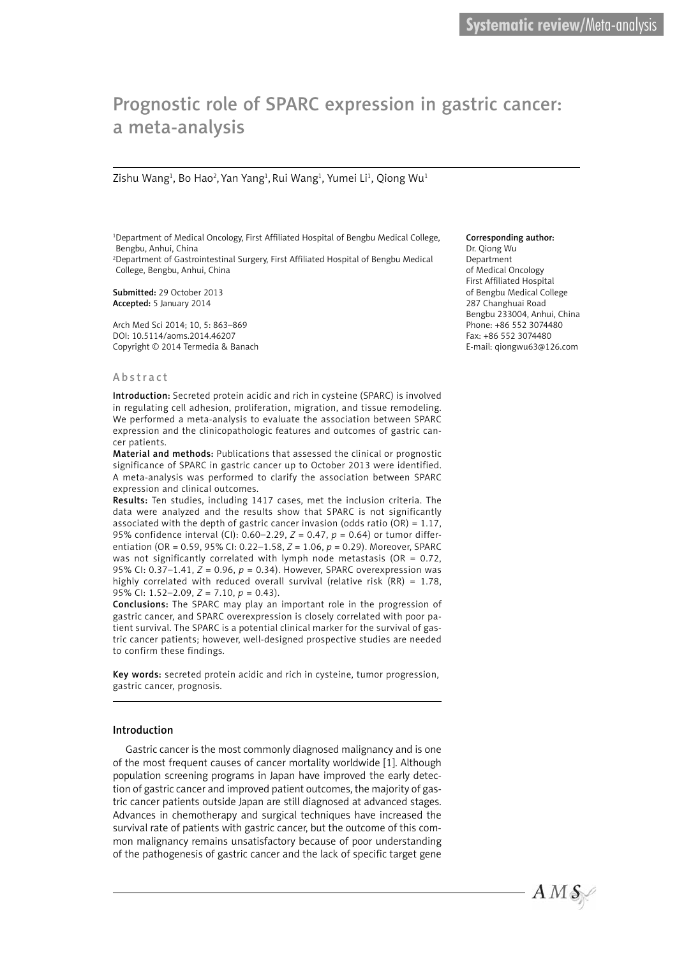# Prognostic role of SPARC expression in gastric cancer: a meta-analysis

Zishu Wang $^{\rm 1}$ , Bo Hao $^{\rm 2}$ , Yan Yang $^{\rm 1}$ , Rui Wang $^{\rm 1}$ , Yumei Li $^{\rm 1}$ , Qiong Wu $^{\rm 1}$ 

1 Department of Medical Oncology, First Affiliated Hospital of Bengbu Medical College, Bengbu, Anhui, China

2 Department of Gastrointestinal Surgery, First Affiliated Hospital of Bengbu Medical College, Bengbu, Anhui, China

Submitted: 29 October 2013 Accepted: 5 January 2014

Arch Med Sci 2014; 10, 5: 863–869 DOI: 10.5114/aoms.2014.46207 Copyright © 2014 Termedia & Banach

### Abstract

Introduction: Secreted protein acidic and rich in cysteine (SPARC) is involved in regulating cell adhesion, proliferation, migration, and tissue remodeling. We performed a meta-analysis to evaluate the association between SPARC expression and the clinicopathologic features and outcomes of gastric cancer patients.

Material and methods: Publications that assessed the clinical or prognostic significance of SPARC in gastric cancer up to October 2013 were identified. A meta-analysis was performed to clarify the association between SPARC expression and clinical outcomes.

Results: Ten studies, including 1417 cases, met the inclusion criteria. The data were analyzed and the results show that SPARC is not significantly associated with the depth of gastric cancer invasion (odds ratio (OR) =  $1.17$ , 95% confidence interval (CI): 0.60–2.29, *Z* = 0.47, *p* = 0.64) or tumor differentiation (OR = 0.59, 95% CI: 0.22–1.58, *Z* = 1.06, *p* = 0.29). Moreover, SPARC was not significantly correlated with lymph node metastasis ( $OR = 0.72$ , 95% CI: 0.37–1.41, *Z* = 0.96, *p* = 0.34). However, SPARC overexpression was highly correlated with reduced overall survival (relative risk  $(RR) = 1.78$ . 95% CI: 1.52–2.09, *Z* = 7.10, *p* = 0.43).

Conclusions: The SPARC may play an important role in the progression of gastric cancer, and SPARC overexpression is closely correlated with poor patient survival. The SPARC is a potential clinical marker for the survival of gastric cancer patients; however, well-designed prospective studies are needed to confirm these findings.

Key words: secreted protein acidic and rich in cysteine, tumor progression, gastric cancer, prognosis.

#### Introduction

Gastric cancer is the most commonly diagnosed malignancy and is one of the most frequent causes of cancer mortality worldwide [1]. Although population screening programs in Japan have improved the early detection of gastric cancer and improved patient outcomes, the majority of gastric cancer patients outside Japan are still diagnosed at advanced stages. Advances in chemotherapy and surgical techniques have increased the survival rate of patients with gastric cancer, but the outcome of this common malignancy remains unsatisfactory because of poor understanding of the pathogenesis of gastric cancer and the lack of specific target gene

Corresponding author: Dr. Qiong Wu **Department** of Medical Oncology First Affiliated Hospital of Bengbu Medical College 287 Changhuai Road Bengbu 233004, Anhui, China Phone: +86 552 3074480 Fax: +86 552 3074480 E-mail: qiongwu63@126.com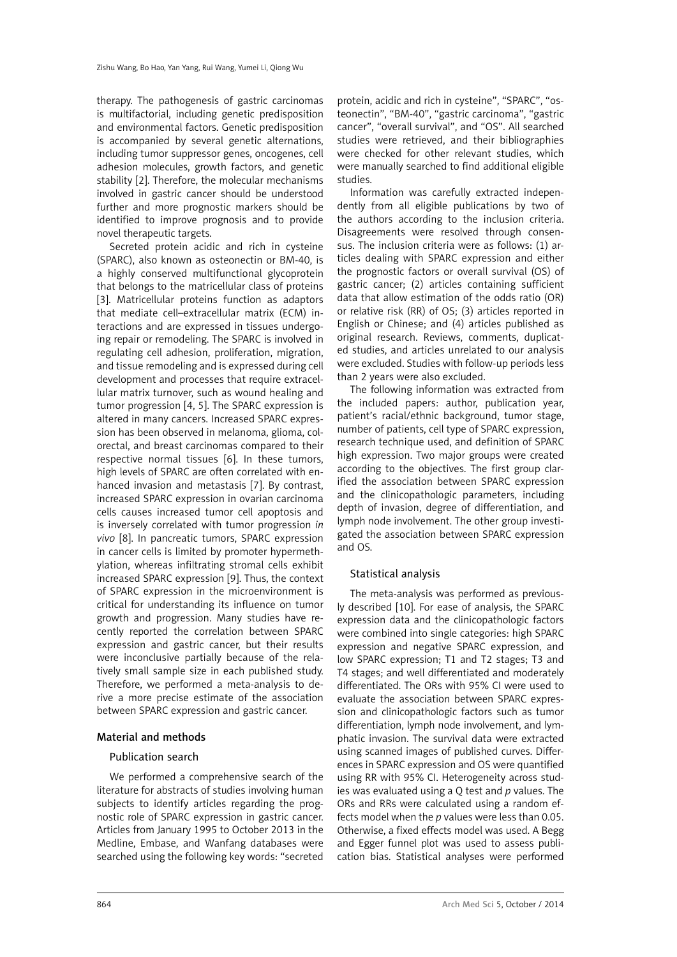therapy. The pathogenesis of gastric carcinomas is multifactorial, including genetic predisposition and environmental factors. Genetic predisposition is accompanied by several genetic alternations, including tumor suppressor genes, oncogenes, cell adhesion molecules, growth factors, and genetic stability [2]. Therefore, the molecular mechanisms involved in gastric cancer should be understood further and more prognostic markers should be identified to improve prognosis and to provide novel therapeutic targets.

Secreted protein acidic and rich in cysteine (SPARC), also known as osteonectin or BM-40, is a highly conserved multifunctional glycoprotein that belongs to the matricellular class of proteins [3]. Matricellular proteins function as adaptors that mediate cell–extracellular matrix (ECM) interactions and are expressed in tissues undergoing repair or remodeling. The SPARC is involved in regulating cell adhesion, proliferation, migration, and tissue remodeling and is expressed during cell development and processes that require extracellular matrix turnover, such as wound healing and tumor progression [4, 5]. The SPARC expression is altered in many cancers. Increased SPARC expression has been observed in melanoma, glioma, colorectal, and breast carcinomas compared to their respective normal tissues [6]. In these tumors, high levels of SPARC are often correlated with enhanced invasion and metastasis [7]. By contrast, increased SPARC expression in ovarian carcinoma cells causes increased tumor cell apoptosis and is inversely correlated with tumor progression *in vivo* [8]. In pancreatic tumors, SPARC expression in cancer cells is limited by promoter hypermethylation, whereas infiltrating stromal cells exhibit increased SPARC expression [9]. Thus, the context of SPARC expression in the microenvironment is critical for understanding its influence on tumor growth and progression. Many studies have recently reported the correlation between SPARC expression and gastric cancer, but their results were inconclusive partially because of the relatively small sample size in each published study. Therefore, we performed a meta-analysis to derive a more precise estimate of the association between SPARC expression and gastric cancer.

# Material and methods

# Publication search

We performed a comprehensive search of the literature for abstracts of studies involving human subjects to identify articles regarding the prognostic role of SPARC expression in gastric cancer. Articles from January 1995 to October 2013 in the Medline, Embase, and Wanfang databases were searched using the following key words: "secreted

protein, acidic and rich in cysteine", "SPARC", "osteonectin", "BM-40", "gastric carcinoma", "gastric cancer", "overall survival", and "OS". All searched studies were retrieved, and their bibliographies were checked for other relevant studies, which were manually searched to find additional eligible studies.

Information was carefully extracted independently from all eligible publications by two of the authors according to the inclusion criteria. Disagreements were resolved through consensus. The inclusion criteria were as follows: (1) articles dealing with SPARC expression and either the prognostic factors or overall survival (OS) of gastric cancer; (2) articles containing sufficient data that allow estimation of the odds ratio (OR) or relative risk (RR) of OS; (3) articles reported in English or Chinese; and (4) articles published as original research. Reviews, comments, duplicated studies, and articles unrelated to our analysis were excluded. Studies with follow-up periods less than 2 years were also excluded.

The following information was extracted from the included papers: author, publication year, patient's racial/ethnic background, tumor stage, number of patients, cell type of SPARC expression, research technique used, and definition of SPARC high expression. Two major groups were created according to the objectives. The first group clarified the association between SPARC expression and the clinicopathologic parameters, including depth of invasion, degree of differentiation, and lymph node involvement. The other group investigated the association between SPARC expression and OS.

# Statistical analysis

The meta-analysis was performed as previously described [10]. For ease of analysis, the SPARC expression data and the clinicopathologic factors were combined into single categories: high SPARC expression and negative SPARC expression, and low SPARC expression; T1 and T2 stages; T3 and T4 stages; and well differentiated and moderately differentiated. The ORs with 95% CI were used to evaluate the association between SPARC expression and clinicopathologic factors such as tumor differentiation, lymph node involvement, and lymphatic invasion. The survival data were extracted using scanned images of published curves. Differences in SPARC expression and OS were quantified using RR with 95% CI. Heterogeneity across studies was evaluated using a Q test and *p* values. The ORs and RRs were calculated using a random effects model when the *p* values were less than 0.05. Otherwise, a fixed effects model was used. A Begg and Egger funnel plot was used to assess publication bias. Statistical analyses were performed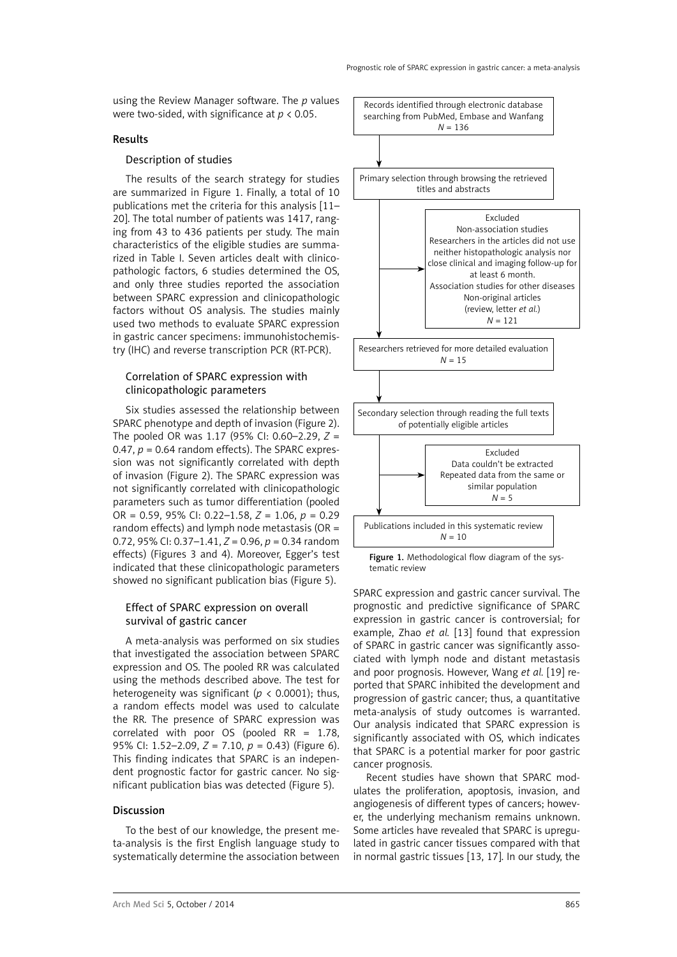using the Review Manager software. The *p* values were two-sided, with significance at *p* < 0.05.

#### Results

# Description of studies

The results of the search strategy for studies are summarized in Figure 1. Finally, a total of 10 publications met the criteria for this analysis [11– 20]. The total number of patients was 1417, ranging from 43 to 436 patients per study. The main characteristics of the eligible studies are summarized in Table I. Seven articles dealt with clinicopathologic factors, 6 studies determined the OS, and only three studies reported the association between SPARC expression and clinicopathologic factors without OS analysis. The studies mainly used two methods to evaluate SPARC expression in gastric cancer specimens: immunohistochemistry (IHC) and reverse transcription PCR (RT-PCR).

# Correlation of SPARC expression with clinicopathologic parameters

Six studies assessed the relationship between SPARC phenotype and depth of invasion (Figure 2). The pooled OR was 1.17 (95% CI: 0.60–2.29, *Z* = 0.47,  $p = 0.64$  random effects). The SPARC expression was not significantly correlated with depth of invasion (Figure 2). The SPARC expression was not significantly correlated with clinicopathologic parameters such as tumor differentiation (pooled OR = 0.59, 95% CI: 0.22–1.58, *Z* = 1.06, *p* = 0.29 random effects) and lymph node metastasis (OR = 0.72, 95% CI: 0.37–1.41, *Z* = 0.96, *p* = 0.34 random effects) (Figures 3 and 4). Moreover, Egger's test indicated that these clinicopathologic parameters showed no significant publication bias (Figure 5).

# Effect of SPARC expression on overall survival of gastric cancer

A meta-analysis was performed on six studies that investigated the association between SPARC expression and OS. The pooled RR was calculated using the methods described above. The test for heterogeneity was significant ( $p < 0.0001$ ); thus, a random effects model was used to calculate the RR. The presence of SPARC expression was correlated with poor OS (pooled RR = 1.78, 95% CI: 1.52–2.09, *Z* = 7.10, *p* = 0.43) (Figure 6). This finding indicates that SPARC is an independent prognostic factor for gastric cancer. No significant publication bias was detected (Figure 5).

### Discussion

To the best of our knowledge, the present meta-analysis is the first English language study to systematically determine the association between



SPARC expression and gastric cancer survival. The prognostic and predictive significance of SPARC expression in gastric cancer is controversial; for example, Zhao *et al.* [13] found that expression of SPARC in gastric cancer was significantly associated with lymph node and distant metastasis and poor prognosis. However, Wang *et al.* [19] reported that SPARC inhibited the development and progression of gastric cancer; thus, a quantitative meta-analysis of study outcomes is warranted. Our analysis indicated that SPARC expression is significantly associated with OS, which indicates that SPARC is a potential marker for poor gastric cancer prognosis.

Recent studies have shown that SPARC modulates the proliferation, apoptosis, invasion, and angiogenesis of different types of cancers; however, the underlying mechanism remains unknown. Some articles have revealed that SPARC is upregulated in gastric cancer tissues compared with that in normal gastric tissues [13, 17]. In our study, the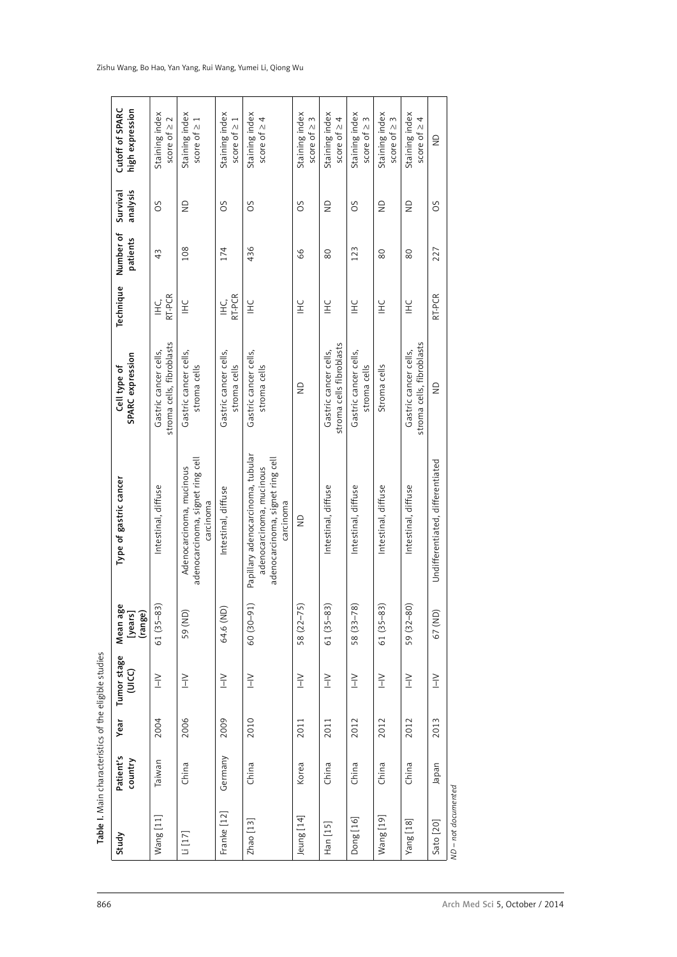| Study          | Patient's<br>country | Year | Tumor stage<br>C<br>J<br>J<br>J | Mean age<br>[years]<br>(range) | Type of gastric cancer                                                                                         | SPARC expression<br>Cell type of                   | Technique                        | Number of<br>patients | analysis<br>Survival | Cutoff of SPARC<br>high expression  |
|----------------|----------------------|------|---------------------------------|--------------------------------|----------------------------------------------------------------------------------------------------------------|----------------------------------------------------|----------------------------------|-----------------------|----------------------|-------------------------------------|
| Wang [11]      | Taiwan               | 2004 | $\geq$                          | $61(35-83)$                    | Intestinal, diffuse                                                                                            | stroma cells, fibroblasts<br>Gastric cancer cells, | RT-PCR<br>$\stackrel{.}{\equiv}$ | 43                    | SO                   | Staining index<br>score of $\geq 2$ |
| Li[17]         | China                | 2006 | $\geq$                          | 59 (ND)                        | adenocarcinoma, signet ring cell<br>Adenocarcinoma, mucinous<br>carcinoma                                      | Gastric cancer cells,<br>stroma cells              | $E_{\pm}$                        | 108                   | $\frac{0}{2}$        | Staining index<br>score of $\geq 1$ |
| Franke [12]    | Germany              | 2009 | $\geq$                          | 64.6 (ND)                      | Intestinal, diffuse                                                                                            | Gastric cancer cells,<br>stroma cells              | RT-PCR<br>$\overline{\Xi}$       | 174                   | OS                   | Staining index<br>score of $\geq 1$ |
| $Z$ hao $[13]$ | China                | 2010 | $\geq$                          | $60(30-91)$                    | Papillary adenocarcinoma, tubular<br>adenocarcinoma, signet ring cell<br>adenocarcinoma, mucinous<br>carcinoma | Gastric cancer cells,<br>stroma cells              | $E_{\pm}$                        | 436                   | SO                   | Staining index<br>score of $\geq 4$ |
| leung [14]     | Korea                | 2011 | $\geq$                          | $58(22 - 75)$                  | $\frac{\Omega}{Z}$                                                                                             | $\frac{\mathsf{D}}{\mathsf{Z}}$                    | $E_{\pm}$                        | 66                    | SO                   | Staining index<br>score of $\geq 3$ |
| Han [15]       | China                | 2011 | $\geq$                          | $(35 - 83)$<br>61              | Intestinal, diffuse                                                                                            | stroma cells fibroblasts<br>Gastric cancer cells,  | $E_{\pm}$                        | $80$                  | $\frac{0}{2}$        | Staining index<br>score of $\geq 4$ |
| Dong [16]      | China                | 2012 | $\geq$                          | $58(33 - 78)$                  | Intestinal, diffuse                                                                                            | Gastric cancer cells,<br>stroma cells              | $E_{\text{H}}$                   | 123                   | SO                   | Staining index<br>score of $\geq 3$ |
| Wang [19]      | China                | 2012 | $\geq$                          | $61(35-83)$                    | Intestinal, diffuse                                                                                            | Stroma cells                                       | $E_{\pm}$                        | 80                    | $\frac{0}{2}$        | Staining index<br>score of $\geq 3$ |
| Yang [18]      | China                | 2012 | $\geq$                          | 59 (32-80)                     | Intestinal, diffuse                                                                                            | stroma cells, fibroblasts<br>Gastric cancer cells, | $E_{\pm}$                        | 80                    | $\frac{0}{2}$        | Staining index<br>score of $\geq$   |
| Sato [20]      | Iapan                | 2013 | $\geq$                          | 67 (ND)                        | Undifferentiated, differentiated                                                                               | $\frac{\Omega}{\Omega}$                            | RT-PCR                           | 227                   | SO                   | $\frac{1}{2}$                       |

#### Zishu Wang, Bo Hao, Yan Yang, Rui Wang, Yumei Li, Qiong Wu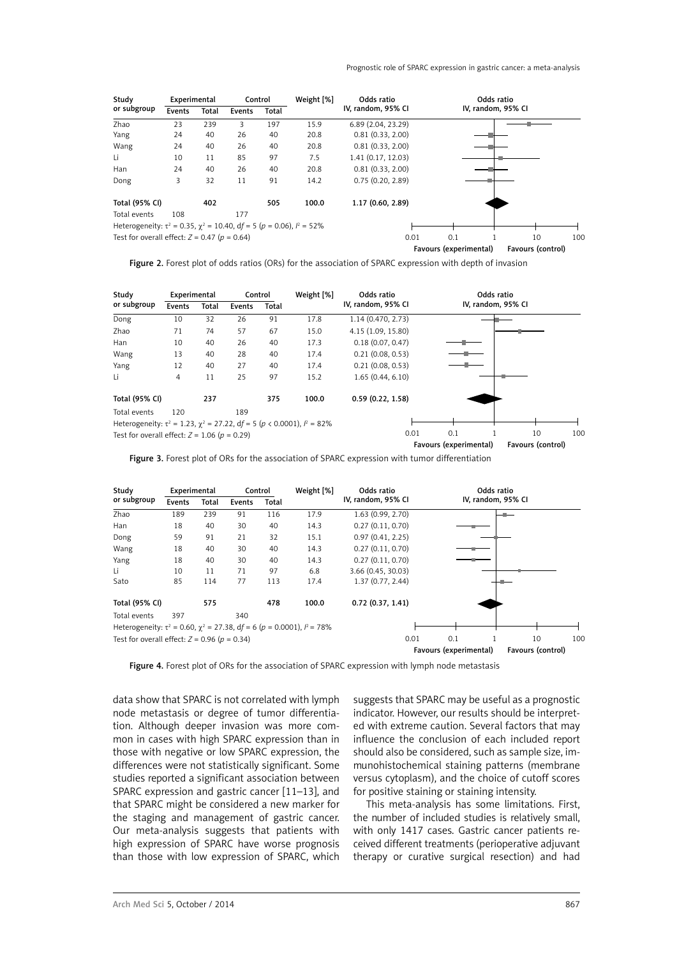| Study                                                                            | Experimental |       | Control |       | Weight [%] | Odds ratio         |                        | Odds ratio         |                   |     |
|----------------------------------------------------------------------------------|--------------|-------|---------|-------|------------|--------------------|------------------------|--------------------|-------------------|-----|
| or subgroup                                                                      | Events       | Total | Events  | Total |            | IV, random, 95% CI |                        | IV, random, 95% CI |                   |     |
| Zhao                                                                             | 23           | 239   | 3       | 197   | 15.9       | 6.89 (2.04, 23.29) |                        |                    |                   |     |
| Yang                                                                             | 24           | 40    | 26      | 40    | 20.8       | 0.81(0.33, 2.00)   |                        |                    |                   |     |
| Wang                                                                             | 24           | 40    | 26      | 40    | 20.8       | 0.81(0.33, 2.00)   |                        |                    |                   |     |
| Li                                                                               | 10           | 11    | 85      | 97    | 7.5        | 1.41 (0.17, 12.03) |                        |                    |                   |     |
| Han                                                                              | 24           | 40    | 26      | 40    | 20.8       | 0.81(0.33, 2.00)   |                        |                    |                   |     |
| Dong                                                                             | 3            | 32    | 11      | 91    | 14.2       | 0.75(0.20, 2.89)   |                        |                    |                   |     |
| Total (95% CI)                                                                   |              | 402   |         | 505   | 100.0      | 1.17 (0.60, 2.89)  |                        |                    |                   |     |
| Total events                                                                     | 108          |       | 177     |       |            |                    |                        |                    |                   |     |
| Heterogeneity: $\tau^2$ = 0.35, $\chi^2$ = 10.40, df = 5 (p = 0.06), $l^2$ = 52% |              |       |         |       |            |                    |                        |                    |                   |     |
| Test for overall effect: $Z = 0.47$ ( $p = 0.64$ )                               |              |       |         |       |            | 0.01               | 0.1                    |                    | 10                | 100 |
|                                                                                  |              |       |         |       |            |                    | Favours (experimental) |                    | Favours (control) |     |

Figure 2. Forest plot of odds ratios (ORs) for the association of SPARC expression with depth of invasion

| Study                                                                                 | Experimental |       | Control |       | Weight [%] | Odds ratio         | Odds ratio             |                   |                 |
|---------------------------------------------------------------------------------------|--------------|-------|---------|-------|------------|--------------------|------------------------|-------------------|-----------------|
| or subgroup                                                                           | Events       | Total | Events  | Total |            | IV, random, 95% CI | IV, random, 95% CI     |                   |                 |
| Dong                                                                                  | 10           | 32    | 26      | 91    | 17.8       | 1.14 (0.470, 2.73) |                        |                   |                 |
| Zhao                                                                                  | 71           | 74    | 57      | 67    | 15.0       | 4.15 (1.09, 15.80) |                        |                   |                 |
| Han                                                                                   | 10           | 40    | 26      | 40    | 17.3       | 0.18(0.07, 0.47)   |                        |                   |                 |
| Wang                                                                                  | 13           | 40    | 28      | 40    | 17.4       | 0.21(0.08, 0.53)   |                        |                   |                 |
| Yang                                                                                  | 12           | 40    | 27      | 40    | 17.4       | 0.21(0.08, 0.53)   |                        |                   |                 |
| Li                                                                                    | 4            | 11    | 25      | 97    | 15.2       | 1.65(0.44, 6.10)   |                        |                   |                 |
| Total (95% CI)                                                                        |              | 237   |         | 375   | 100.0      | 0.59(0.22, 1.58)   |                        |                   |                 |
| Total events                                                                          | 120          |       | 189     |       |            |                    |                        |                   |                 |
| Heterogeneity: $\tau^2 = 1.23$ , $\chi^2 = 27.22$ , df = 5 (p < 0.0001), $l^2 = 82\%$ |              |       |         |       |            |                    |                        |                   |                 |
| Test for overall effect: $Z = 1.06$ ( $p = 0.29$ )                                    |              |       |         |       |            | 0.01               | 0.1                    | 10                | 10 <sup>c</sup> |
|                                                                                       |              |       |         |       |            |                    | Favours (experimental) | Favours (control) |                 |

Figure 3. Forest plot of ORs for the association of SPARC expression with tumor differentiation

| Study                                                                              | Experimental |       | Control |       | Weight [%] | Odds ratio         |                        | Odds ratio         |                   |     |
|------------------------------------------------------------------------------------|--------------|-------|---------|-------|------------|--------------------|------------------------|--------------------|-------------------|-----|
| or subgroup                                                                        | Events       | Total | Events  | Total |            | IV, random, 95% CI |                        | IV, random, 95% CI |                   |     |
| Zhao                                                                               | 189          | 239   | 91      | 116   | 17.9       | 1.63 (0.99, 2.70)  |                        |                    |                   |     |
| Han                                                                                | 18           | 40    | 30      | 40    | 14.3       | 0.27(0.11, 0.70)   |                        |                    |                   |     |
| Dong                                                                               | 59           | 91    | 21      | 32    | 15.1       | 0.97(0.41, 2.25)   |                        |                    |                   |     |
| Wang                                                                               | 18           | 40    | 30      | 40    | 14.3       | 0.27(0.11, 0.70)   |                        |                    |                   |     |
| Yang                                                                               | 18           | 40    | 30      | 40    | 14.3       | 0.27(0.11, 0.70)   |                        |                    |                   |     |
| Li                                                                                 | 10           | 11    | 71      | 97    | 6.8        | 3.66 (0.45, 30.03) |                        |                    |                   |     |
| Sato                                                                               | 85           | 114   | 77      | 113   | 17.4       | 1.37(0.77, 2.44)   |                        |                    |                   |     |
| Total (95% CI)                                                                     |              | 575   |         | 478   | 100.0      | 0.72(0.37, 1.41)   |                        |                    |                   |     |
| Total events                                                                       | 397          |       | 340     |       |            |                    |                        |                    |                   |     |
| Heterogeneity: $\tau^2$ = 0.60, $\chi^2$ = 27.38, df = 6 (p = 0.0001), $l^2$ = 78% |              |       |         |       |            |                    |                        |                    |                   |     |
| Test for overall effect: $Z = 0.96$ ( $p = 0.34$ )                                 |              |       |         |       |            | 0.01               | 0.1                    |                    | 10                | 10C |
|                                                                                    |              |       |         |       |            |                    | Favours (experimental) |                    | Favours (control) |     |

Figure 4. Forest plot of ORs for the association of SPARC expression with lymph node metastasis

data show that SPARC is not correlated with lymph node metastasis or degree of tumor differentiation. Although deeper invasion was more common in cases with high SPARC expression than in those with negative or low SPARC expression, the differences were not statistically significant. Some studies reported a significant association between SPARC expression and gastric cancer [11–13], and that SPARC might be considered a new marker for the staging and management of gastric cancer. Our meta-analysis suggests that patients with high expression of SPARC have worse prognosis than those with low expression of SPARC, which

suggests that SPARC may be useful as a prognostic indicator. However, our results should be interpreted with extreme caution. Several factors that may influence the conclusion of each included report should also be considered, such as sample size, immunohistochemical staining patterns (membrane versus cytoplasm), and the choice of cutoff scores for positive staining or staining intensity.

This meta-analysis has some limitations. First, the number of included studies is relatively small, with only 1417 cases. Gastric cancer patients received different treatments (perioperative adjuvant therapy or curative surgical resection) and had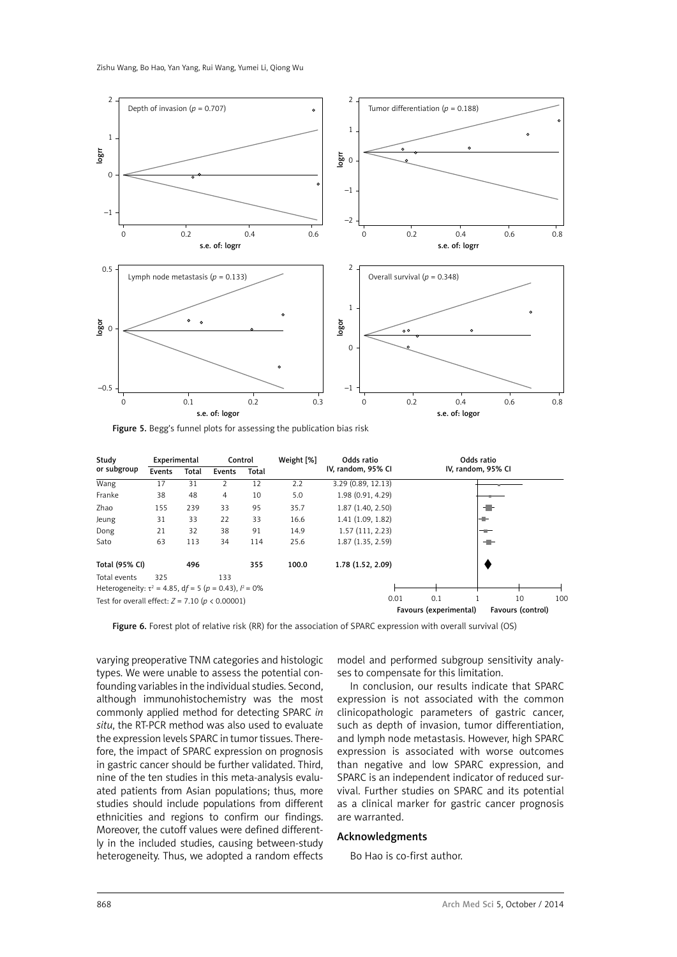Zishu Wang, Bo Hao, Yan Yang, Rui Wang, Yumei Li, Qiong Wu



Figure 5. Begg's funnel plots for assessing the publication bias risk

| Study                                                         | Experimental |       | Control |       | Weight [%] | Odds ratio         |                        | Odds ratio        |     |  |
|---------------------------------------------------------------|--------------|-------|---------|-------|------------|--------------------|------------------------|-------------------|-----|--|
| or subgroup                                                   | Events       | Total | Events  | Total |            | IV, random, 95% CI | IV, random, 95% CI     |                   |     |  |
| Wang                                                          | 17           | 31    | 2       | 12    | 2.2        | 3.29 (0.89, 12.13) |                        |                   |     |  |
| Franke                                                        | 38           | 48    | 4       | 10    | 5.0        | 1.98 (0.91, 4.29)  |                        |                   |     |  |
| Zhao                                                          | 155          | 239   | 33      | 95    | 35.7       | 1.87 (1.40, 2.50)  |                        |                   |     |  |
| Jeung                                                         | 31           | 33    | 22      | 33    | 16.6       | 1.41 (1.09, 1.82)  |                        | -1-               |     |  |
| Dong                                                          | 21           | 32    | 38      | 91    | 14.9       | 1.57(111, 2.23)    |                        | --                |     |  |
| Sato                                                          | 63           | 113   | 34      | 114   | 25.6       | 1.87 (1.35, 2.59)  |                        | -11-              |     |  |
| Total (95% CI)                                                |              | 496   |         | 355   | 100.0      | 1.78 (1.52, 2.09)  |                        |                   |     |  |
| Total events                                                  | 325          |       | 133     |       |            |                    |                        |                   |     |  |
| Heterogeneity: $\tau^2$ = 4.85, df = 5 (p = 0.43), $l^2$ = 0% |              |       |         |       |            |                    |                        |                   |     |  |
| Test for overall effect: $Z = 7.10$ ( $p < 0.00001$ )         |              |       |         |       |            | 0.01               | 0.1                    | 10                | 100 |  |
|                                                               |              |       |         |       |            |                    | Favours (experimental) | Favours (control) |     |  |

Figure 6. Forest plot of relative risk (RR) for the association of SPARC expression with overall survival (OS)

varying preoperative TNM categories and histologic types. We were unable to assess the potential confounding variables in the individual studies. Second, although immunohistochemistry was the most commonly applied method for detecting SPARC *in situ*, the RT-PCR method was also used to evaluate the expression levels SPARC in tumor tissues. Therefore, the impact of SPARC expression on prognosis in gastric cancer should be further validated. Third, nine of the ten studies in this meta-analysis evaluated patients from Asian populations; thus, more studies should include populations from different ethnicities and regions to confirm our findings. Moreover, the cutoff values were defined differently in the included studies, causing between-study heterogeneity. Thus, we adopted a random effects

model and performed subgroup sensitivity analyses to compensate for this limitation.

In conclusion, our results indicate that SPARC expression is not associated with the common clinicopathologic parameters of gastric cancer, such as depth of invasion, tumor differentiation, and lymph node metastasis. However, high SPARC expression is associated with worse outcomes than negative and low SPARC expression, and SPARC is an independent indicator of reduced survival. Further studies on SPARC and its potential as a clinical marker for gastric cancer prognosis are warranted.

#### Acknowledgments

Bo Hao is co-first author.